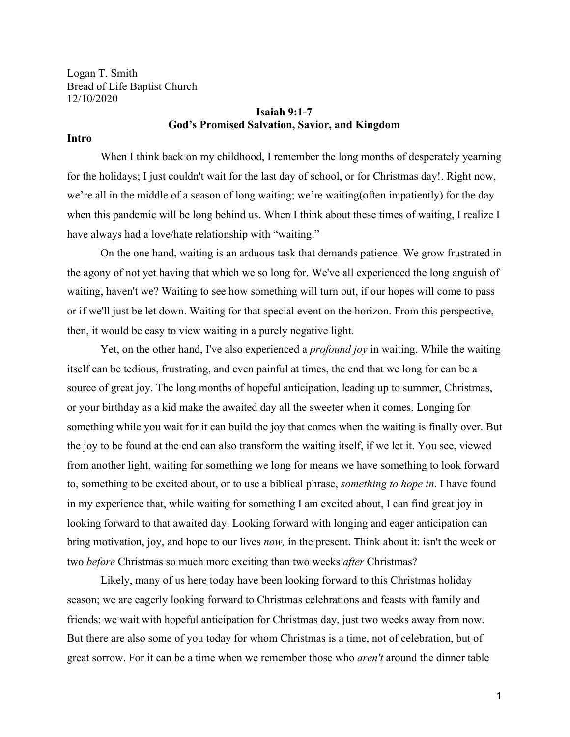Logan T. Smith Bread of Life Baptist Church 12/10/2020

## **Isaiah 9:1-7 God's Promised Salvation, Savior, and Kingdom**

### **Intro**

When I think back on my childhood, I remember the long months of desperately yearning for the holidays; I just couldn't wait for the last day of school, or for Christmas day!. Right now, we're all in the middle of a season of long waiting; we're waiting(often impatiently) for the day when this pandemic will be long behind us. When I think about these times of waiting, I realize I have always had a love/hate relationship with "waiting."

On the one hand, waiting is an arduous task that demands patience. We grow frustrated in the agony of not yet having that which we so long for. We've all experienced the long anguish of waiting, haven't we? Waiting to see how something will turn out, if our hopes will come to pass or if we'll just be let down. Waiting for that special event on the horizon. From this perspective, then, it would be easy to view waiting in a purely negative light.

Yet, on the other hand, I've also experienced a *profound joy* in waiting. While the waiting itself can be tedious, frustrating, and even painful at times, the end that we long for can be a source of great joy. The long months of hopeful anticipation, leading up to summer, Christmas, or your birthday as a kid make the awaited day all the sweeter when it comes. Longing for something while you wait for it can build the joy that comes when the waiting is finally over. But the joy to be found at the end can also transform the waiting itself, if we let it. You see, viewed from another light, waiting for something we long for means we have something to look forward to, something to be excited about, or to use a biblical phrase, *something to hope in*. I have found in my experience that, while waiting for something I am excited about, I can find great joy in looking forward to that awaited day. Looking forward with longing and eager anticipation can bring motivation, joy, and hope to our lives *now,* in the present. Think about it: isn't the week or two *before* Christmas so much more exciting than two weeks *after* Christmas?

Likely, many of us here today have been looking forward to this Christmas holiday season; we are eagerly looking forward to Christmas celebrations and feasts with family and friends; we wait with hopeful anticipation for Christmas day, just two weeks away from now. But there are also some of you today for whom Christmas is a time, not of celebration, but of great sorrow. For it can be a time when we remember those who *aren't* around the dinner table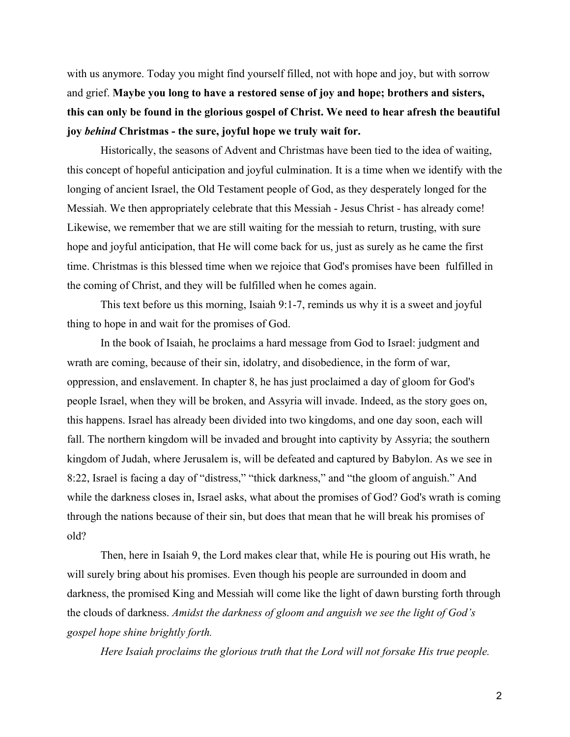with us anymore. Today you might find yourself filled, not with hope and joy, but with sorrow and grief. **Maybe you long to have a restored sense of joy and hope; brothers and sisters, this can only be found in the glorious gospel of Christ. We need to hear afresh the beautiful joy** *behind* **Christmas - the sure, joyful hope we truly wait for.**

Historically, the seasons of Advent and Christmas have been tied to the idea of waiting, this concept of hopeful anticipation and joyful culmination. It is a time when we identify with the longing of ancient Israel, the Old Testament people of God, as they desperately longed for the Messiah. We then appropriately celebrate that this Messiah - Jesus Christ - has already come! Likewise, we remember that we are still waiting for the messiah to return, trusting, with sure hope and joyful anticipation, that He will come back for us, just as surely as he came the first time. Christmas is this blessed time when we rejoice that God's promises have been fulfilled in the coming of Christ, and they will be fulfilled when he comes again.

This text before us this morning, Isaiah 9:1-7, reminds us why it is a sweet and joyful thing to hope in and wait for the promises of God.

In the book of Isaiah, he proclaims a hard message from God to Israel: judgment and wrath are coming, because of their sin, idolatry, and disobedience, in the form of war, oppression, and enslavement. In chapter 8, he has just proclaimed a day of gloom for God's people Israel, when they will be broken, and Assyria will invade. Indeed, as the story goes on, this happens. Israel has already been divided into two kingdoms, and one day soon, each will fall. The northern kingdom will be invaded and brought into captivity by Assyria; the southern kingdom of Judah, where Jerusalem is, will be defeated and captured by Babylon. As we see in 8:22, Israel is facing a day of "distress," "thick darkness," and "the gloom of anguish." And while the darkness closes in, Israel asks, what about the promises of God? God's wrath is coming through the nations because of their sin, but does that mean that he will break his promises of old?

Then, here in Isaiah 9, the Lord makes clear that, while He is pouring out His wrath, he will surely bring about his promises. Even though his people are surrounded in doom and darkness, the promised King and Messiah will come like the light of dawn bursting forth through the clouds of darkness. *Amidst the darkness of gloom and anguish we see the light of God's gospel hope shine brightly forth.*

*Here Isaiah proclaims the glorious truth that the Lord will not forsake His true people.*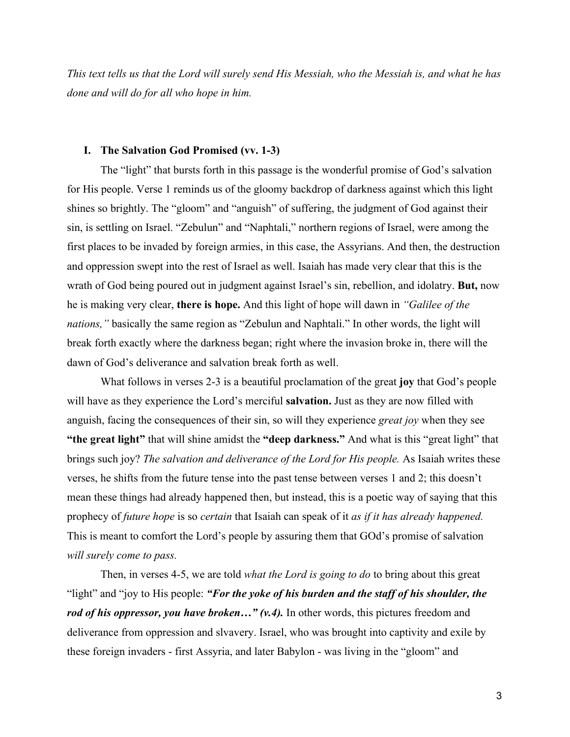*This text tells us that the Lord will surely send His Messiah, who the Messiah is, and what he has done and will do for all who hope in him.*

#### **I. The Salvation God Promised (vv. 1-3)**

The "light" that bursts forth in this passage is the wonderful promise of God's salvation for His people. Verse 1 reminds us of the gloomy backdrop of darkness against which this light shines so brightly. The "gloom" and "anguish" of suffering, the judgment of God against their sin, is settling on Israel. "Zebulun" and "Naphtali," northern regions of Israel, were among the first places to be invaded by foreign armies, in this case, the Assyrians. And then, the destruction and oppression swept into the rest of Israel as well. Isaiah has made very clear that this is the wrath of God being poured out in judgment against Israel's sin, rebellion, and idolatry. **But,** now he is making very clear, **there is hope.** And this light of hope will dawn in *"Galilee of the nations,"* basically the same region as "Zebulun and Naphtali." In other words, the light will break forth exactly where the darkness began; right where the invasion broke in, there will the dawn of God's deliverance and salvation break forth as well.

What follows in verses 2-3 is a beautiful proclamation of the great **joy** that God's people will have as they experience the Lord's merciful **salvation.** Just as they are now filled with anguish, facing the consequences of their sin, so will they experience *great joy* when they see **"the great light"** that will shine amidst the **"deep darkness."** And what is this "great light" that brings such joy? *The salvation and deliverance of the Lord for His people.* As Isaiah writes these verses, he shifts from the future tense into the past tense between verses 1 and 2; this doesn't mean these things had already happened then, but instead, this is a poetic way of saying that this prophecy of *future hope* is so *certain* that Isaiah can speak of it *as if it has already happened.* This is meant to comfort the Lord's people by assuring them that GOd's promise of salvation *will surely come to pass.*

Then, in verses 4-5, we are told *what the Lord is going to do* to bring about this great "light" and "joy to His people: *"For the yoke of his burden and the staff of his shoulder, the rod of his oppressor, you have broken...*" (*v.4*). In other words, this pictures freedom and deliverance from oppression and slvavery. Israel, who was brought into captivity and exile by these foreign invaders - first Assyria, and later Babylon - was living in the "gloom" and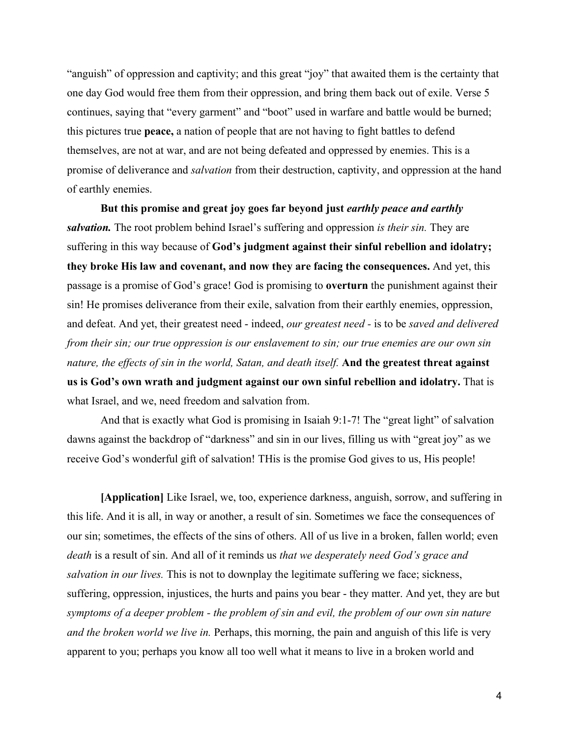"anguish" of oppression and captivity; and this great "joy" that awaited them is the certainty that one day God would free them from their oppression, and bring them back out of exile. Verse 5 continues, saying that "every garment" and "boot" used in warfare and battle would be burned; this pictures true **peace,** a nation of people that are not having to fight battles to defend themselves, are not at war, and are not being defeated and oppressed by enemies. This is a promise of deliverance and *salvation* from their destruction, captivity, and oppression at the hand of earthly enemies.

**But this promise and great joy goes far beyond just** *earthly peace and earthly salvation.* The root problem behind Israel's suffering and oppression *is their sin.* They are suffering in this way because of **God's judgment against their sinful rebellion and idolatry; they broke His law and covenant, and now they are facing the consequences.** And yet, this passage is a promise of God's grace! God is promising to **overturn** the punishment against their sin! He promises deliverance from their exile, salvation from their earthly enemies, oppression, and defeat. And yet, their greatest need - indeed, *our greatest need -* is to be *saved and delivered from their sin; our true oppression is our enslavement to sin; our true enemies are our own sin nature, the effects of sin in the world, Satan, and death itself.* **And the greatest threat against us is God's own wrath and judgment against our own sinful rebellion and idolatry.** That is what Israel, and we, need freedom and salvation from.

And that is exactly what God is promising in Isaiah 9:1-7! The "great light" of salvation dawns against the backdrop of "darkness" and sin in our lives, filling us with "great joy" as we receive God's wonderful gift of salvation! THis is the promise God gives to us, His people!

**[Application]** Like Israel, we, too, experience darkness, anguish, sorrow, and suffering in this life. And it is all, in way or another, a result of sin. Sometimes we face the consequences of our sin; sometimes, the effects of the sins of others. All of us live in a broken, fallen world; even *death* is a result of sin. And all of it reminds us *that we desperately need God's grace and salvation in our lives*. This is not to downplay the legitimate suffering we face; sickness, suffering, oppression, injustices, the hurts and pains you bear - they matter. And yet, they are but *symptoms of a deeper problem - the problem of sin and evil, the problem of our own sin nature and the broken world we live in.* Perhaps, this morning, the pain and anguish of this life is very apparent to you; perhaps you know all too well what it means to live in a broken world and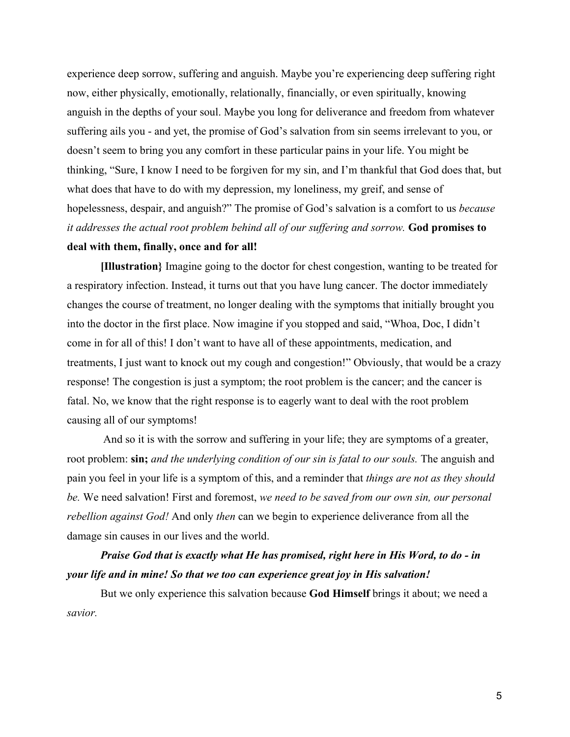experience deep sorrow, suffering and anguish. Maybe you're experiencing deep suffering right now, either physically, emotionally, relationally, financially, or even spiritually, knowing anguish in the depths of your soul. Maybe you long for deliverance and freedom from whatever suffering ails you - and yet, the promise of God's salvation from sin seems irrelevant to you, or doesn't seem to bring you any comfort in these particular pains in your life. You might be thinking, "Sure, I know I need to be forgiven for my sin, and I'm thankful that God does that, but what does that have to do with my depression, my loneliness, my greif, and sense of hopelessness, despair, and anguish?" The promise of God's salvation is a comfort to us *because it addresses the actual root problem behind all of our suffering and sorrow.* **God promises to deal with them, finally, once and for all!**

**[Illustration}** Imagine going to the doctor for chest congestion, wanting to be treated for a respiratory infection. Instead, it turns out that you have lung cancer. The doctor immediately changes the course of treatment, no longer dealing with the symptoms that initially brought you into the doctor in the first place. Now imagine if you stopped and said, "Whoa, Doc, I didn't come in for all of this! I don't want to have all of these appointments, medication, and treatments, I just want to knock out my cough and congestion!" Obviously, that would be a crazy response! The congestion is just a symptom; the root problem is the cancer; and the cancer is fatal. No, we know that the right response is to eagerly want to deal with the root problem causing all of our symptoms!

 And so it is with the sorrow and suffering in your life; they are symptoms of a greater, root problem: **sin;** *and the underlying condition of our sin is fatal to our souls.* The anguish and pain you feel in your life is a symptom of this, and a reminder that *things are not as they should be.* We need salvation! First and foremost, *we need to be saved from our own sin, our personal rebellion against God!* And only *then* can we begin to experience deliverance from all the damage sin causes in our lives and the world.

# *Praise God that is exactly what He has promised, right here in His Word, to do - in your life and in mine! So that we too can experience great joy in His salvation!*

But we only experience this salvation because **God Himself** brings it about; we need a *savior.*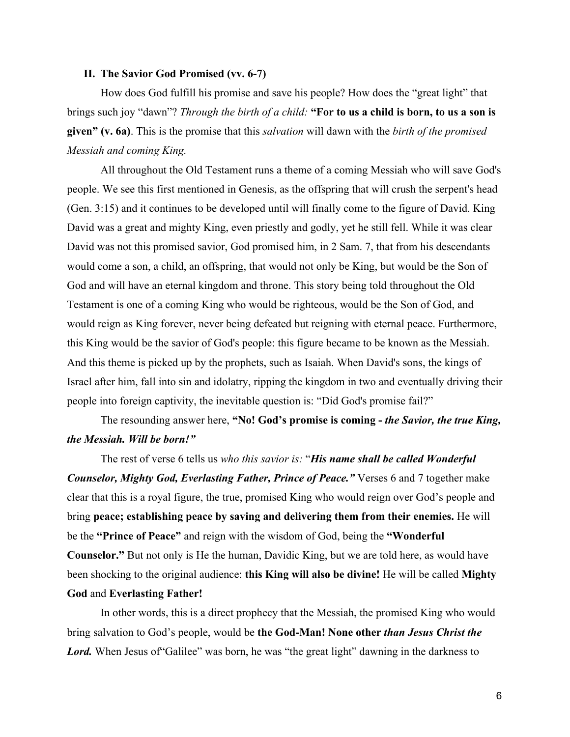#### **II. The Savior God Promised (vv. 6-7)**

How does God fulfill his promise and save his people? How does the "great light" that brings such joy "dawn"? *Through the birth of a child:* **"For to us a child is born, to us a son is given" (v. 6a)**. This is the promise that this *salvation* will dawn with the *birth of the promised Messiah and coming King.*

All throughout the Old Testament runs a theme of a coming Messiah who will save God's people. We see this first mentioned in Genesis, as the offspring that will crush the serpent's head (Gen. 3:15) and it continues to be developed until will finally come to the figure of David. King David was a great and mighty King, even priestly and godly, yet he still fell. While it was clear David was not this promised savior, God promised him, in 2 Sam. 7, that from his descendants would come a son, a child, an offspring, that would not only be King, but would be the Son of God and will have an eternal kingdom and throne. This story being told throughout the Old Testament is one of a coming King who would be righteous, would be the Son of God, and would reign as King forever, never being defeated but reigning with eternal peace. Furthermore, this King would be the savior of God's people: this figure became to be known as the Messiah. And this theme is picked up by the prophets, such as Isaiah. When David's sons, the kings of Israel after him, fall into sin and idolatry, ripping the kingdom in two and eventually driving their people into foreign captivity, the inevitable question is: "Did God's promise fail?"

# The resounding answer here, **"No! God's promise is coming -** *the Savior, the true King, the Messiah. Will be born!"*

The rest of verse 6 tells us *who this savior is:* "*His name shall be called Wonderful Counselor, Mighty God, Everlasting Father, Prince of Peace."* Verses 6 and 7 together make clear that this is a royal figure, the true, promised King who would reign over God's people and bring **peace; establishing peace by saving and delivering them from their enemies.** He will be the **"Prince of Peace"** and reign with the wisdom of God, being the **"Wonderful Counselor."** But not only is He the human, Davidic King, but we are told here, as would have been shocking to the original audience: **this King will also be divine!** He will be called **Mighty God** and **Everlasting Father!**

In other words, this is a direct prophecy that the Messiah, the promised King who would bring salvation to God's people, would be **the God-Man! None other** *than Jesus Christ the* Lord. When Jesus of "Galilee" was born, he was "the great light" dawning in the darkness to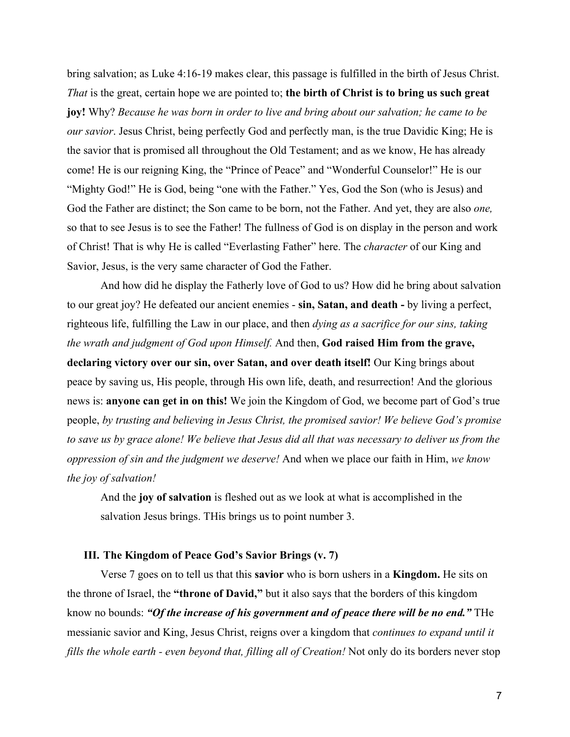bring salvation; as Luke 4:16-19 makes clear, this passage is fulfilled in the birth of Jesus Christ. *That* is the great, certain hope we are pointed to; **the birth of Christ is to bring us such great joy!** Why? *Because he was born in order to live and bring about our salvation; he came to be our savior*. Jesus Christ, being perfectly God and perfectly man, is the true Davidic King; He is the savior that is promised all throughout the Old Testament; and as we know, He has already come! He is our reigning King, the "Prince of Peace" and "Wonderful Counselor!" He is our "Mighty God!" He is God, being "one with the Father." Yes, God the Son (who is Jesus) and God the Father are distinct; the Son came to be born, not the Father. And yet, they are also *one,* so that to see Jesus is to see the Father! The fullness of God is on display in the person and work of Christ! That is why He is called "Everlasting Father" here. The *character* of our King and Savior, Jesus, is the very same character of God the Father.

And how did he display the Fatherly love of God to us? How did he bring about salvation to our great joy? He defeated our ancient enemies - **sin, Satan, and death -** by living a perfect, righteous life, fulfilling the Law in our place, and then *dying as a sacrifice for our sins, taking the wrath and judgment of God upon Himself.* And then, **God raised Him from the grave, declaring victory over our sin, over Satan, and over death itself!** Our King brings about peace by saving us, His people, through His own life, death, and resurrection! And the glorious news is: **anyone can get in on this!** We join the Kingdom of God, we become part of God's true people, *by trusting and believing in Jesus Christ, the promised savior! We believe God's promise to save us by grace alone! We believe that Jesus did all that was necessary to deliver us from the oppression of sin and the judgment we deserve!* And when we place our faith in Him, *we know the joy of salvation!*

And the **joy of salvation** is fleshed out as we look at what is accomplished in the salvation Jesus brings. THis brings us to point number 3.

### **III. The Kingdom of Peace God's Savior Brings (v. 7)**

Verse 7 goes on to tell us that this **savior** who is born ushers in a **Kingdom.** He sits on the throne of Israel, the **"throne of David,"** but it also says that the borders of this kingdom know no bounds: *"Of the increase of his government and of peace there will be no end."* THe messianic savior and King, Jesus Christ, reigns over a kingdom that *continues to expand until it fills the whole earth - even beyond that, filling all of Creation!* Not only do its borders never stop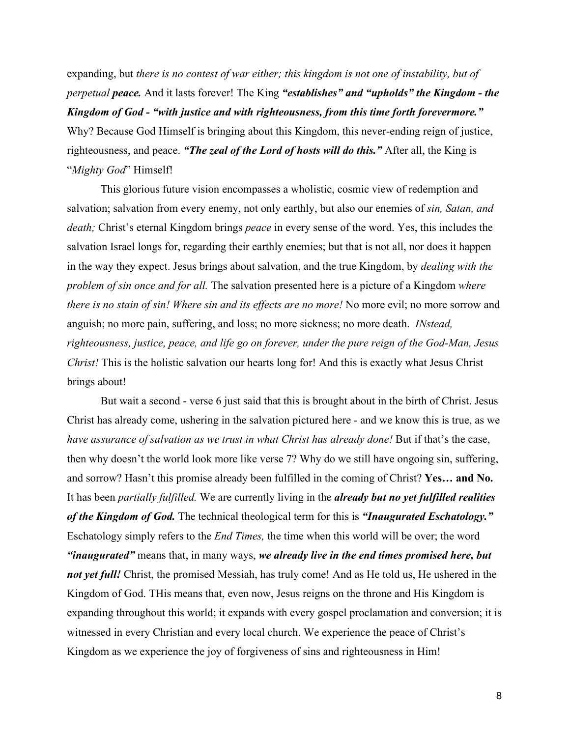expanding, but *there is no contest of war either; this kingdom is not one of instability, but of perpetual peace.* And it lasts forever! The King *"establishes" and "upholds" the Kingdom - the Kingdom of God - "with justice and with righteousness, from this time forth forevermore."* Why? Because God Himself is bringing about this Kingdom, this never-ending reign of justice, righteousness, and peace. *"The zeal of the Lord of hosts will do this."* After all, the King is "*Mighty God*" Himself!

This glorious future vision encompasses a wholistic, cosmic view of redemption and salvation; salvation from every enemy, not only earthly, but also our enemies of *sin, Satan, and death;* Christ's eternal Kingdom brings *peace* in every sense of the word. Yes, this includes the salvation Israel longs for, regarding their earthly enemies; but that is not all, nor does it happen in the way they expect. Jesus brings about salvation, and the true Kingdom, by *dealing with the problem of sin once and for all.* The salvation presented here is a picture of a Kingdom *where there is no stain of sin! Where sin and its effects are no more!* No more evil; no more sorrow and anguish; no more pain, suffering, and loss; no more sickness; no more death. *INstead, righteousness, justice, peace, and life go on forever, under the pure reign of the God-Man, Jesus Christ!* This is the holistic salvation our hearts long for! And this is exactly what Jesus Christ brings about!

But wait a second - verse 6 just said that this is brought about in the birth of Christ. Jesus Christ has already come, ushering in the salvation pictured here - and we know this is true, as we *have assurance of salvation as we trust in what Christ has already done!* But if that's the case, then why doesn't the world look more like verse 7? Why do we still have ongoing sin, suffering, and sorrow? Hasn't this promise already been fulfilled in the coming of Christ? **Yes… and No.** It has been *partially fulfilled.* We are currently living in the *already but no yet fulfilled realities of the Kingdom of God.* The technical theological term for this is *"Inaugurated Eschatology."* Eschatology simply refers to the *End Times,* the time when this world will be over; the word *"inaugurated"* means that, in many ways, *we already live in the end times promised here, but not yet full!* Christ, the promised Messiah, has truly come! And as He told us, He ushered in the Kingdom of God. THis means that, even now, Jesus reigns on the throne and His Kingdom is expanding throughout this world; it expands with every gospel proclamation and conversion; it is witnessed in every Christian and every local church. We experience the peace of Christ's Kingdom as we experience the joy of forgiveness of sins and righteousness in Him!